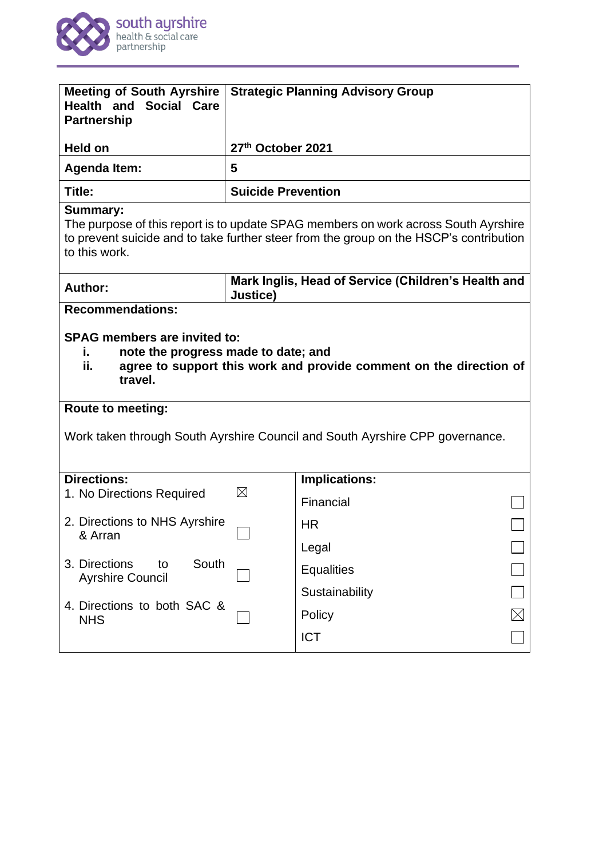

| <b>Meeting of South Ayrshire</b><br><b>Health and Social Care</b><br><b>Partnership</b>                                                                                                                                                                                              | <b>Strategic Planning Advisory Group</b>                        |                      |  |
|--------------------------------------------------------------------------------------------------------------------------------------------------------------------------------------------------------------------------------------------------------------------------------------|-----------------------------------------------------------------|----------------------|--|
| <b>Held on</b>                                                                                                                                                                                                                                                                       | 27th October 2021                                               |                      |  |
| <b>Agenda Item:</b>                                                                                                                                                                                                                                                                  | 5                                                               |                      |  |
| Title:                                                                                                                                                                                                                                                                               | <b>Suicide Prevention</b>                                       |                      |  |
| <b>Summary:</b><br>The purpose of this report is to update SPAG members on work across South Ayrshire<br>to prevent suicide and to take further steer from the group on the HSCP's contribution<br>to this work.                                                                     |                                                                 |                      |  |
| <b>Author:</b>                                                                                                                                                                                                                                                                       | Mark Inglis, Head of Service (Children's Health and<br>Justice) |                      |  |
| <b>SPAG members are invited to:</b><br>note the progress made to date; and<br>ι.<br>ii.<br>agree to support this work and provide comment on the direction of<br>travel.<br><b>Route to meeting:</b><br>Work taken through South Ayrshire Council and South Ayrshire CPP governance. |                                                                 |                      |  |
|                                                                                                                                                                                                                                                                                      |                                                                 |                      |  |
| <b>Directions:</b>                                                                                                                                                                                                                                                                   | $\boxtimes$                                                     | <b>Implications:</b> |  |
| 1. No Directions Required                                                                                                                                                                                                                                                            |                                                                 | Financial            |  |
| 2. Directions to NHS Ayrshire                                                                                                                                                                                                                                                        |                                                                 | <b>HR</b>            |  |
| & Arran                                                                                                                                                                                                                                                                              |                                                                 | Legal                |  |
| South<br>3. Directions<br>to<br><b>Ayrshire Council</b>                                                                                                                                                                                                                              |                                                                 | <b>Equalities</b>    |  |
|                                                                                                                                                                                                                                                                                      |                                                                 | Sustainability       |  |
| 4. Directions to both SAC &<br><b>NHS</b>                                                                                                                                                                                                                                            |                                                                 | Policy               |  |
|                                                                                                                                                                                                                                                                                      |                                                                 | <b>ICT</b>           |  |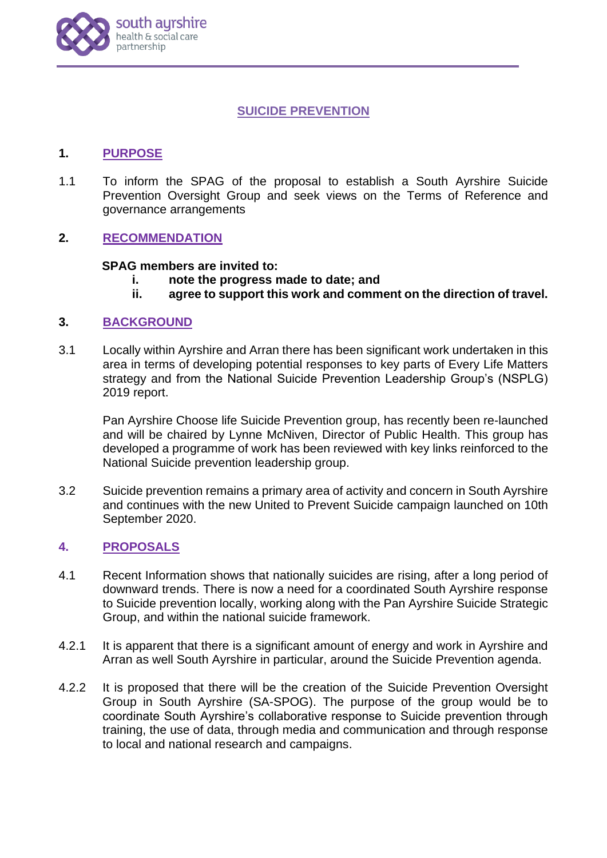

# **SUICIDE PREVENTION**

# **1. PURPOSE**

1.1 To inform the SPAG of the proposal to establish a South Ayrshire Suicide Prevention Oversight Group and seek views on the Terms of Reference and governance arrangements

# **2. RECOMMENDATION**

### **SPAG members are invited to:**

- **i. note the progress made to date; and**
- **ii. agree to support this work and comment on the direction of travel.**

### **3. BACKGROUND**

3.1 Locally within Ayrshire and Arran there has been significant work undertaken in this area in terms of developing potential responses to key parts of Every Life Matters strategy and from the National Suicide Prevention Leadership Group's (NSPLG) 2019 report.

Pan Ayrshire Choose life Suicide Prevention group, has recently been re-launched and will be chaired by Lynne McNiven, Director of Public Health. This group has developed a programme of work has been reviewed with key links reinforced to the National Suicide prevention leadership group.

3.2 Suicide prevention remains a primary area of activity and concern in South Ayrshire and continues with the new United to Prevent Suicide campaign launched on 10th September 2020.

### **4. PROPOSALS**

- 4.1 Recent Information shows that nationally suicides are rising, after a long period of downward trends. There is now a need for a coordinated South Ayrshire response to Suicide prevention locally, working along with the Pan Ayrshire Suicide Strategic Group, and within the national suicide framework.
- 4.2.1 It is apparent that there is a significant amount of energy and work in Ayrshire and Arran as well South Ayrshire in particular, around the Suicide Prevention agenda.
- 4.2.2 It is proposed that there will be the creation of the Suicide Prevention Oversight Group in South Ayrshire (SA-SPOG). The purpose of the group would be to coordinate South Ayrshire's collaborative response to Suicide prevention through training, the use of data, through media and communication and through response to local and national research and campaigns.